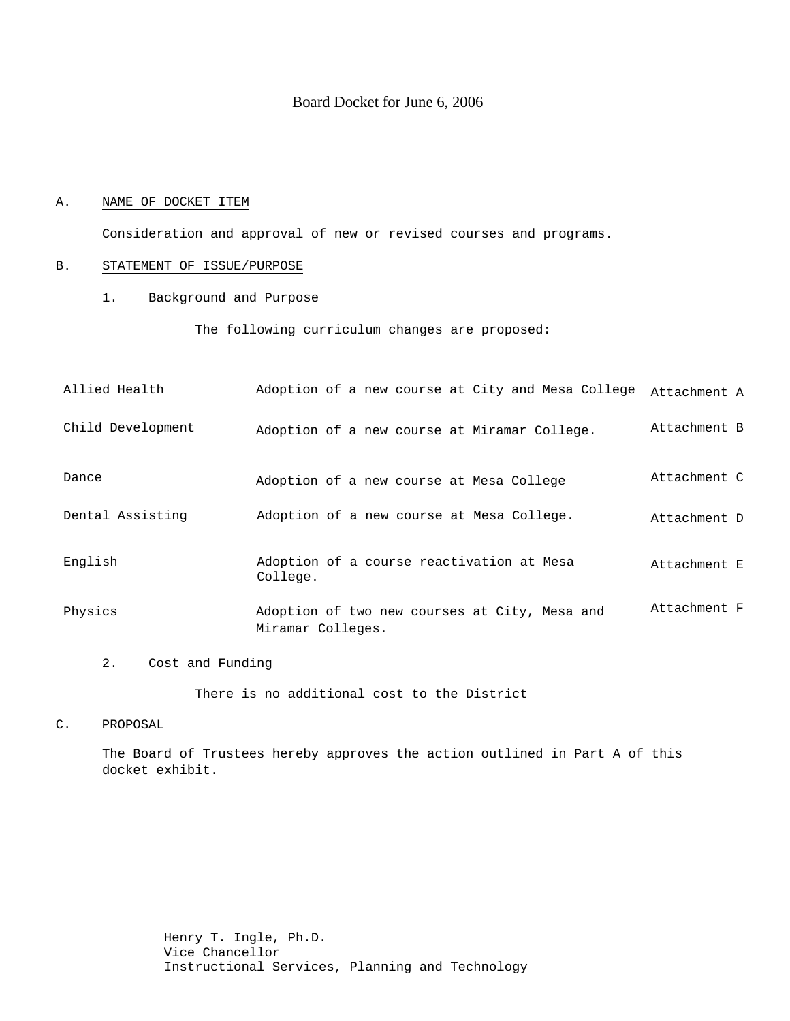# Board Docket for June 6, 2006

### A. NAME OF DOCKET ITEM

Consideration and approval of new or revised courses and programs.

### B. STATEMENT OF ISSUE/PURPOSE

1. Background and Purpose

The following curriculum changes are proposed:

| Allied Health     | Adoption of a new course at City and Mesa College                  | Attachment A |
|-------------------|--------------------------------------------------------------------|--------------|
| Child Development | Adoption of a new course at Miramar College.                       | Attachment B |
| Dance             | Adoption of a new course at Mesa College                           | Attachment C |
| Dental Assisting  | Adoption of a new course at Mesa College.                          | Attachment D |
| English           | Adoption of a course reactivation at Mesa<br>College.              | Attachment E |
| Physics           | Adoption of two new courses at City, Mesa and<br>Miramar Colleges. | Attachment F |

2. Cost and Funding

There is no additional cost to the District

#### C. PROPOSAL

The Board of Trustees hereby approves the action outlined in Part A of this docket exhibit.

> Henry T. Ingle, Ph.D. Vice Chancellor Instructional Services, Planning and Technology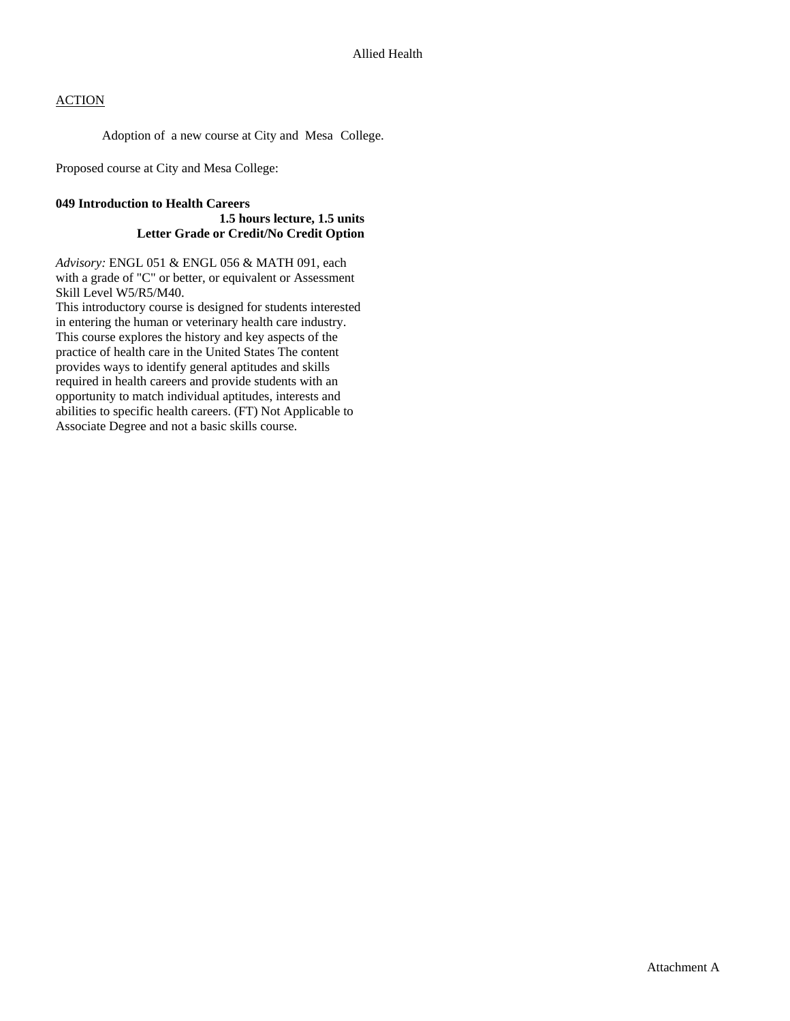Adoption of a new course at City and Mesa College.

Proposed course at City and Mesa College:

#### **049 Introduction to Health Careers**

### **1.5 hours lecture, 1.5 units Letter Grade or Credit/No Credit Option**

*Advisory:* ENGL 051 & ENGL 056 & MATH 091, each with a grade of "C" or better, or equivalent or Assessment Skill Level W5/R5/M40.

This introductory course is designed for students interested in entering the human or veterinary health care industry. This course explores the history and key aspects of the practice of health care in the United States The content provides ways to identify general aptitudes and skills required in health careers and provide students with an opportunity to match individual aptitudes, interests and abilities to specific health careers. (FT) Not Applicable to Associate Degree and not a basic skills course.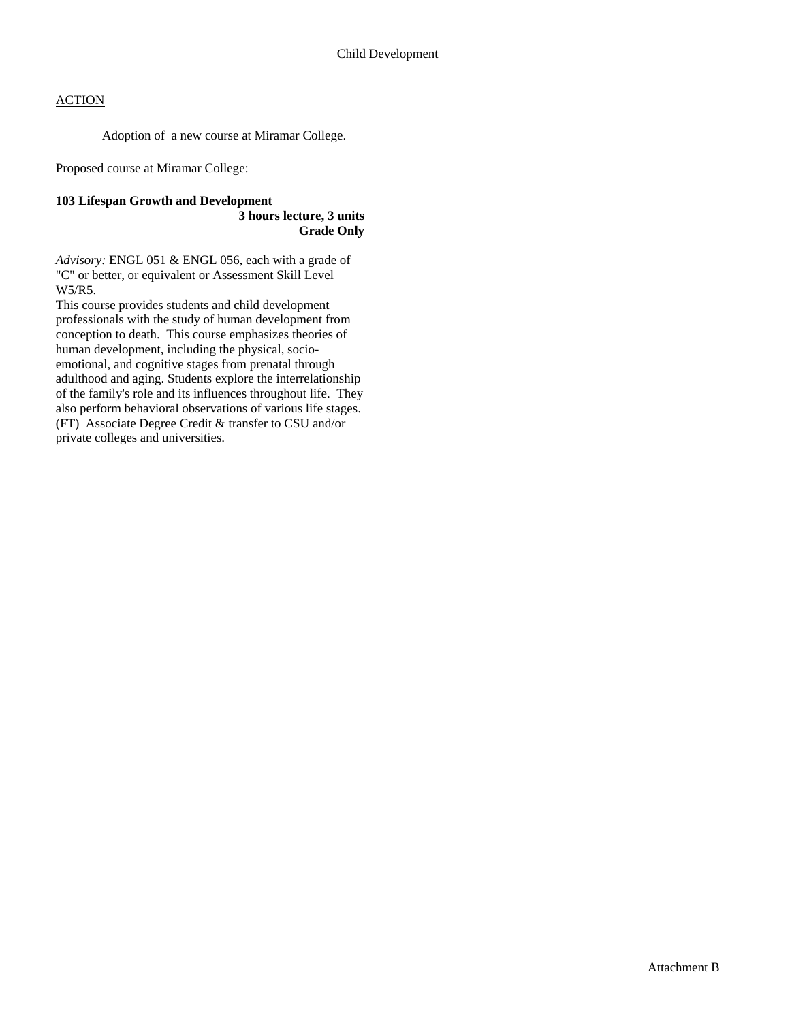Adoption of a new course at Miramar College.

Proposed course at Miramar College:

### **103 Lifespan Growth and Development**

 **3 hours lecture, 3 units Grade Only** 

*Advisory:* ENGL 051 & ENGL 056, each with a grade of "C" or better, or equivalent or Assessment Skill Level W5/R5.

This course provides students and child development professionals with the study of human development from conception to death. This course emphasizes theories of human development, including the physical, socioemotional, and cognitive stages from prenatal through adulthood and aging. Students explore the interrelationship of the family's role and its influences throughout life. They also perform behavioral observations of various life stages. (FT) Associate Degree Credit & transfer to CSU and/or private colleges and universities.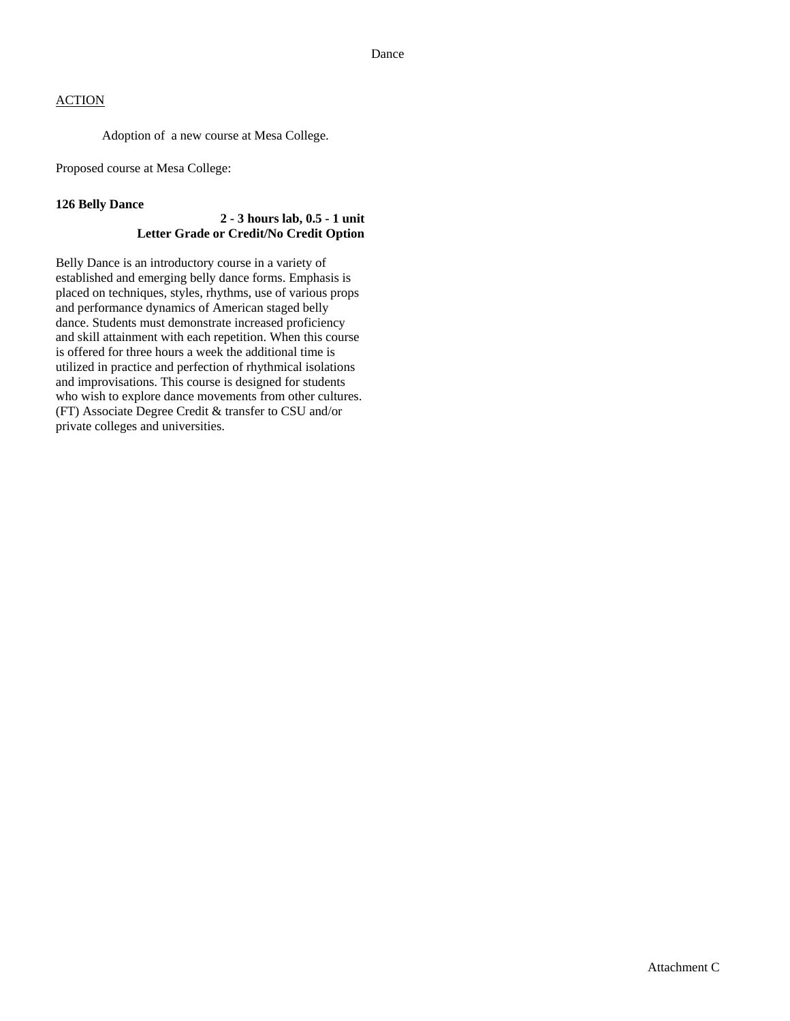Adoption of a new course at Mesa College.

Proposed course at Mesa College:

### **126 Belly Dance**

### **2 - 3 hours lab, 0.5 - 1 unit Letter Grade or Credit/No Credit Option**

Belly Dance is an introductory course in a variety of established and emerging belly dance forms. Emphasis is placed on techniques, styles, rhythms, use of various props and performance dynamics of American staged belly dance. Students must demonstrate increased proficiency and skill attainment with each repetition. When this course is offered for three hours a week the additional time is utilized in practice and perfection of rhythmical isolations and improvisations. This course is designed for students who wish to explore dance movements from other cultures. (FT) Associate Degree Credit & transfer to CSU and/or private colleges and universities.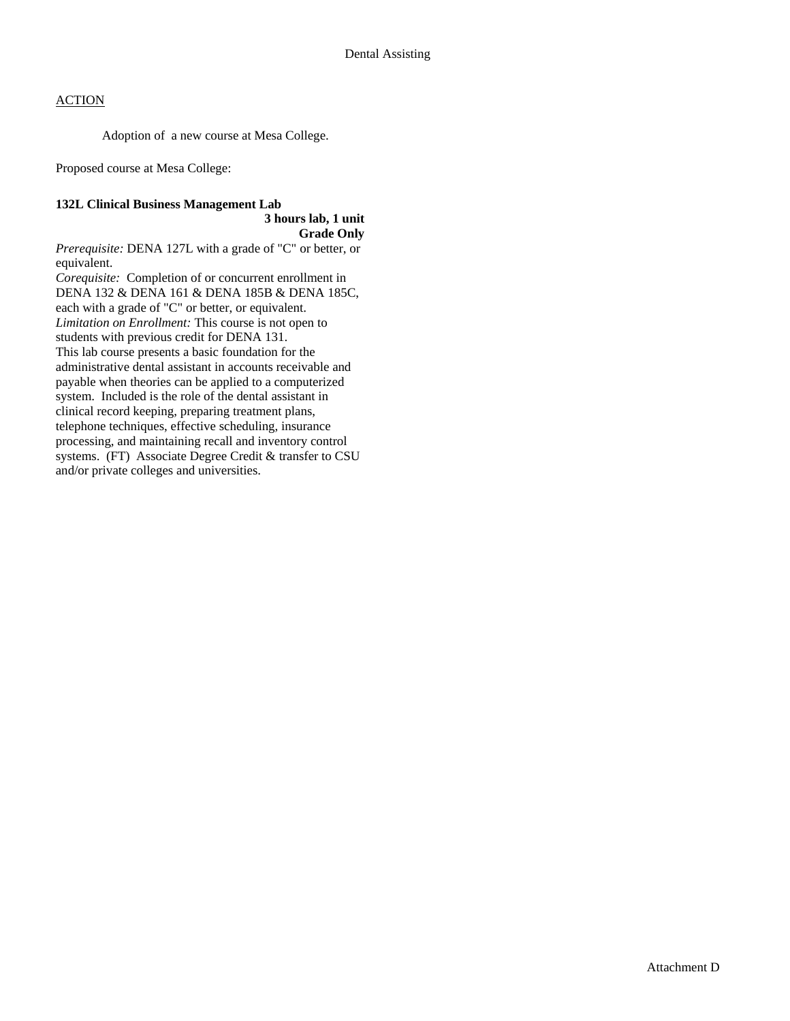Adoption of a new course at Mesa College.

Proposed course at Mesa College:

### **132L Clinical Business Management Lab**

**3 hours lab, 1 unit Grade Only** 

*Prerequisite:* DENA 127L with a grade of "C" or better, or equivalent.

*Corequisite:*Completion of or concurrent enrollment in DENA 132 & DENA 161 & DENA 185B & DENA 185C, each with a grade of "C" or better, or equivalent. *Limitation on Enrollment:* This course is not open to students with previous credit for DENA 131. This lab course presents a basic foundation for the administrative dental assistant in accounts receivable and payable when theories can be applied to a computerized system. Included is the role of the dental assistant in clinical record keeping, preparing treatment plans, telephone techniques, effective scheduling, insurance processing, and maintaining recall and inventory control systems. (FT) Associate Degree Credit & transfer to CSU and/or private colleges and universities.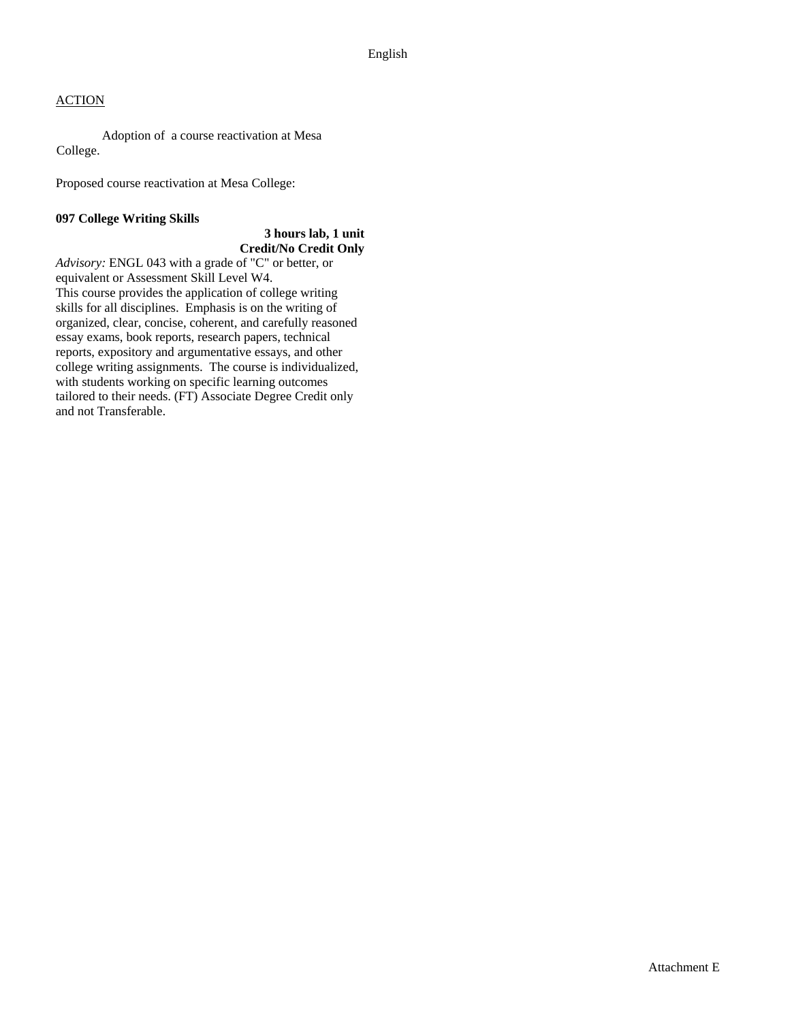Adoption of a course reactivation at Mesa College.

Proposed course reactivation at Mesa College:

### **097 College Writing Skills**

### **3 hours lab, 1 unit Credit/No Credit Only**

*Advisory:* ENGL 043 with a grade of "C" or better, or equivalent or Assessment Skill Level W4. This course provides the application of college writing skills for all disciplines. Emphasis is on the writing of organized, clear, concise, coherent, and carefully reasoned essay exams, book reports, research papers, technical reports, expository and argumentative essays, and other college writing assignments. The course is individualized, with students working on specific learning outcomes tailored to their needs. (FT) Associate Degree Credit only and not Transferable.